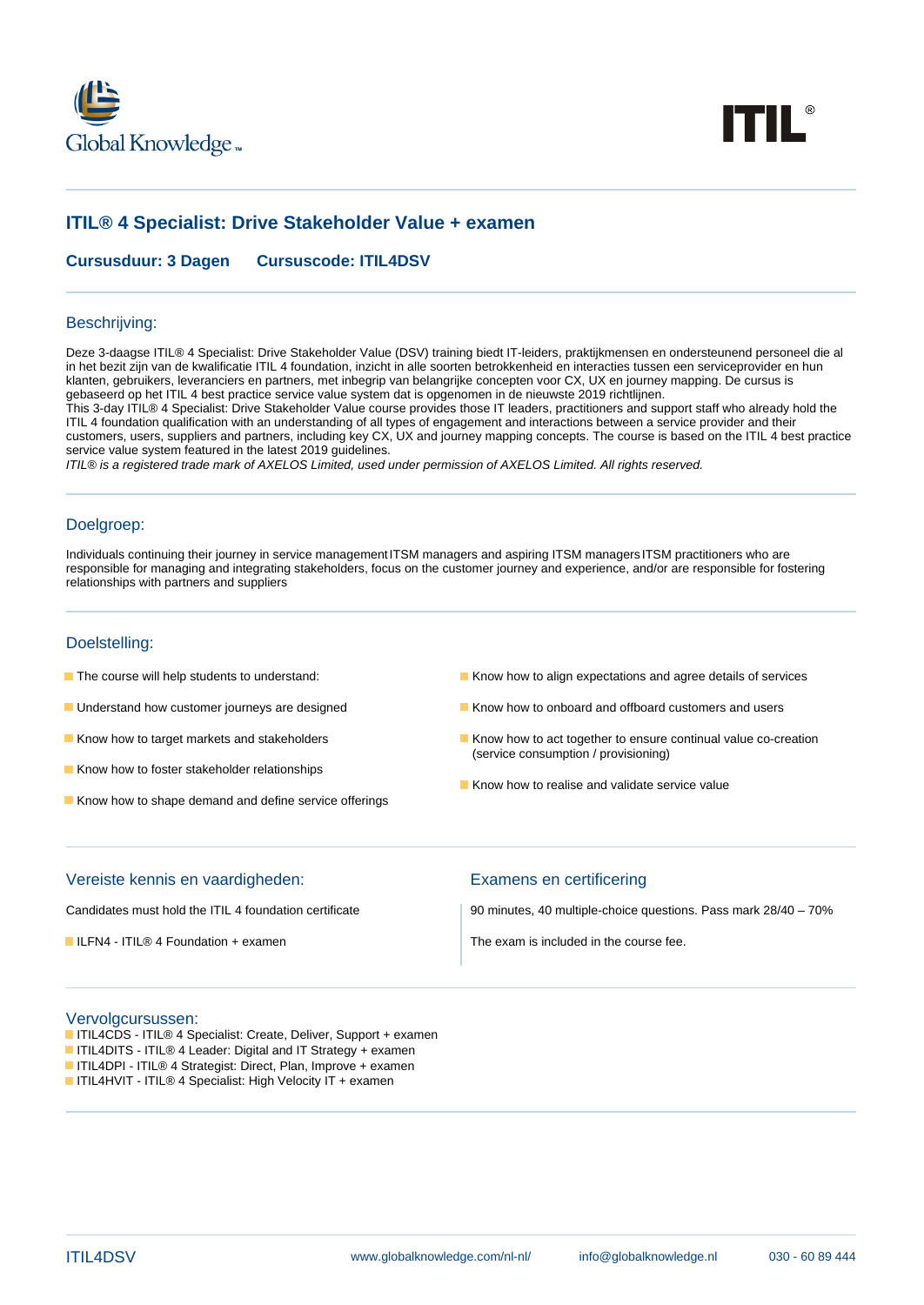



# **ITIL® 4 Specialist: Drive Stakeholder Value + examen**

**Cursusduur: 3 Dagen Cursuscode: ITIL4DSV**

#### Beschrijving:

Deze 3-daagse ITIL® 4 Specialist: Drive Stakeholder Value (DSV) training biedt IT-leiders, praktijkmensen en ondersteunend personeel die al in het bezit zijn van de kwalificatie ITIL 4 foundation, inzicht in alle soorten betrokkenheid en interacties tussen een serviceprovider en hun klanten, gebruikers, leveranciers en partners, met inbegrip van belangrijke concepten voor CX, UX en journey mapping. De cursus is gebaseerd op het ITIL 4 best practice service value system dat is opgenomen in de nieuwste 2019 richtlijnen.

This 3-day ITIL® 4 Specialist: Drive Stakeholder Value course provides those IT leaders, practitioners and support staff who already hold the ITIL 4 foundation qualification with an understanding of all types of engagement and interactions between a service provider and their customers, users, suppliers and partners, including key CX, UX and journey mapping concepts. The course is based on the ITIL 4 best practice service value system featured in the latest 2019 guidelines.

ITIL® is a registered trade mark of AXELOS Limited, used under permission of AXELOS Limited. All rights reserved.

### Doelgroep:

Individuals continuing their journey in service managementITSM managers and aspiring ITSM managersITSM practitioners who are responsible for managing and integrating stakeholders, focus on the customer journey and experience, and/or are responsible for fostering relationships with partners and suppliers

## Doelstelling:

- 
- 
- 
- Know how to foster stakeholder relationships
- Know how to shape demand and define service offerings
- The course will help students to understand: Know how to align expectations and agree details of services
- Understand how customer journeys are designed Know how to onboard and offboard customers and users
- Know how to target markets and stakeholders Know how to act together to ensure continual value co-creation (service consumption / provisioning)
	- Know how to realise and validate service value

#### Vereiste kennis en vaardigheden: Examens en certificering

Candidates must hold the ITIL 4 foundation certificate 90 minutes, 40 multiple-choice questions. Pass mark 28/40 – 70%

 $\blacksquare$  ILFN4 - ITIL® 4 Foundation + examen The exam is included in the course fee.

#### Vervolgcursussen:

- ITIL4CDS ITIL® 4 Specialist: Create, Deliver, Support + examen
- ITIL4DITS ITIL® 4 Leader: Digital and IT Strategy + examen
- ITIL4DPI ITIL® 4 Strategist: Direct, Plan, Improve + examen
- ITIL4HVIT ITIL® 4 Specialist: High Velocity IT + examen